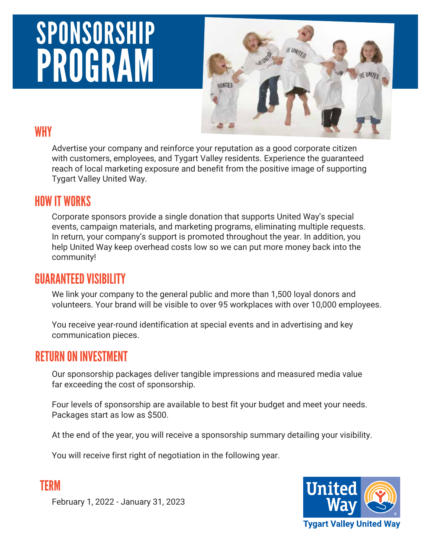# SPONSORSHIP PROGRAM



#### WHY

Advertise your company and reinforce your reputation as a good corporate citizen with customers, employees, and Tygart Valley residents. Experience the guaranteed reach of local marketing exposure and benefit from the positive image of supporting Tygart Valley United Way.

#### HOW IT WORKS

Corporate sponsors provide a single donation that supports United Way's special events, campaign materials, and marketing programs, eliminating multiple requests. In return, your company's support is promoted throughout the year. In addition, you help United Way keep overhead costs low so we can put more money back into the community!

#### GUARANTEED VISIBILITY

We link your company to the general public and more than 1,500 loyal donors and volunteers. Your brand will be visible to over 95 workplaces with over 10,000 employees.

You receive year-round identification at special events and in advertising and key communication pieces.

#### RETURN ON INVESTMENT

TERM

Our sponsorship packages deliver tangible impressions and measured media value far exceeding the cost of sponsorship.

Four levels of sponsorship are available to best fit your budget and meet your needs. Packages start as low as \$500.

At the end of the year, you will receive a sponsorship summary detailing your visibility.

You will receive first right of negotiation in the following year.



February 1, 2022 - January 31, 2023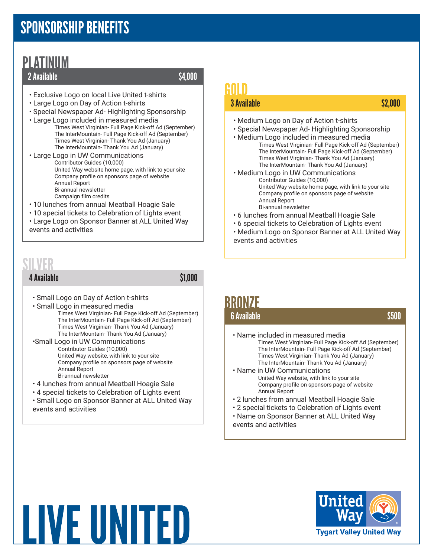# SPONSORSHIP BENEFITS

### PLATINUM

#### 2 Available  $$4,000$

- Exclusive Logo on local Live United t-shirts
- Large Logo on Day of Action t-shirts
- Special Newspaper Ad- Highlighting Sponsorship
- Large Logo included in measured media Times West Virginian- Full Page Kick-off Ad (September) The InterMountain- Full Page Kick-off Ad (September) Times West Virginian- Thank You Ad (January) The InterMountain- Thank You Ad (January)
- Large Logo in UW Communications Contributor Guides (10,000) United Way website home page, with link to your site Company profile on sponsors page of website Annual Report Bi-annual newsletter Campaign film credits
- 10 lunches from annual Meatball Hoagie Sale
- 10 special tickets to Celebration of Lights event
- Large Logo on Sponsor Banner at ALL United Way events and activities

## SILVER

4 Available \$1,000

- Small Logo on Day of Action t-shirts
- Small Logo in measured media Times West Virginian- Full Page Kick-off Ad (September)
	- The InterMountain- Full Page Kick-off Ad (September) Times West Virginian- Thank You Ad (January) The InterMountain- Thank You Ad (January)
- •Small Logo in UW Communications Contributor Guides (10,000) United Way website, with link to your site Company profile on sponsors page of website Annual Report Bi-annual newsletter
- 4 lunches from annual Meatball Hoagie Sale
- 4 special tickets to Celebration of Lights event
- Small Logo on Sponsor Banner at ALL United Way events and activities

# GOLD

#### 3 Available \$2,000 \$2,000 \$2,000 \$2,000 \$2,000 \$2,000 \$2,000 \$2,000 \$2,000 \$2,000

- Medium Logo on Day of Action t-shirts
- Special Newspaper Ad- Highlighting Sponsorship
- Medium Logo included in measured media Times West Virginian- Full Page Kick-off Ad (September) The InterMountain- Full Page Kick-off Ad (September) Times West Virginian- Thank You Ad (January) The InterMountain- Thank You Ad (January)
- Medium Logo in UW Communications Contributor Guides (10,000) United Way website home page, with link to your site Company profile on sponsors page of website Annual Report Bi-annual newsletter
- 6 lunches from annual Meatball Hoagie Sale
- 6 special tickets to Celebration of Lights event
- Medium Logo on Sponsor Banner at ALL United Way events and activities

# BRONZE

#### 6 Available \$500 **6 Available**

- Name included in measured media Times West Virginian- Full Page Kick-off Ad (September) The InterMountain- Full Page Kick-off Ad (September) Times West Virginian- Thank You Ad (January) The InterMountain- Thank You Ad (January)
- Name in UW Communications United Way website, with link to your site Company profile on sponsors page of website Annual Report
- 2 lunches from annual Meatball Hoagie Sale
- 2 special tickets to Celebration of Lights event
- Name on Sponsor Banner at ALL United Way events and activities



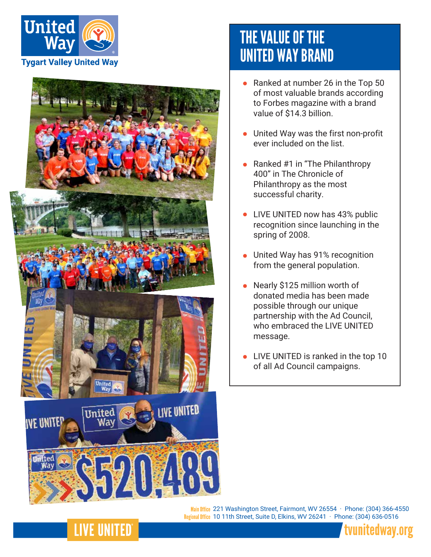



# THE VALUE OF THE UNITED WAY BRAND

- Ranked at number 26 in the Top 50 of most valuable brands according to Forbes magazine with a brand value of \$14.3 billion.
- United Way was the first non-profit ever included on the list.
- Ranked #1 in "The Philanthropy 400" in The Chronicle of Philanthropy as the most successful charity.
- LIVE UNITED now has 43% public recognition since launching in the spring of 2008.
- United Way has 91% recognition from the general population.
- Nearly \$125 million worth of donated media has been made possible through our unique partnership with the Ad Council, who embraced the LIVE UNITED message.
- **.** LIVE UNITED is ranked in the top 10 of all Ad Council campaigns.

Main Office 221 Washington Street, Fairmont, WV 26554 · Phone: (304) 366-4550 Regional Office 10 11th Street, Suite D, Elkins, WV 26241 · Phone: (304) 636-0516



## **LIVE UNITED**